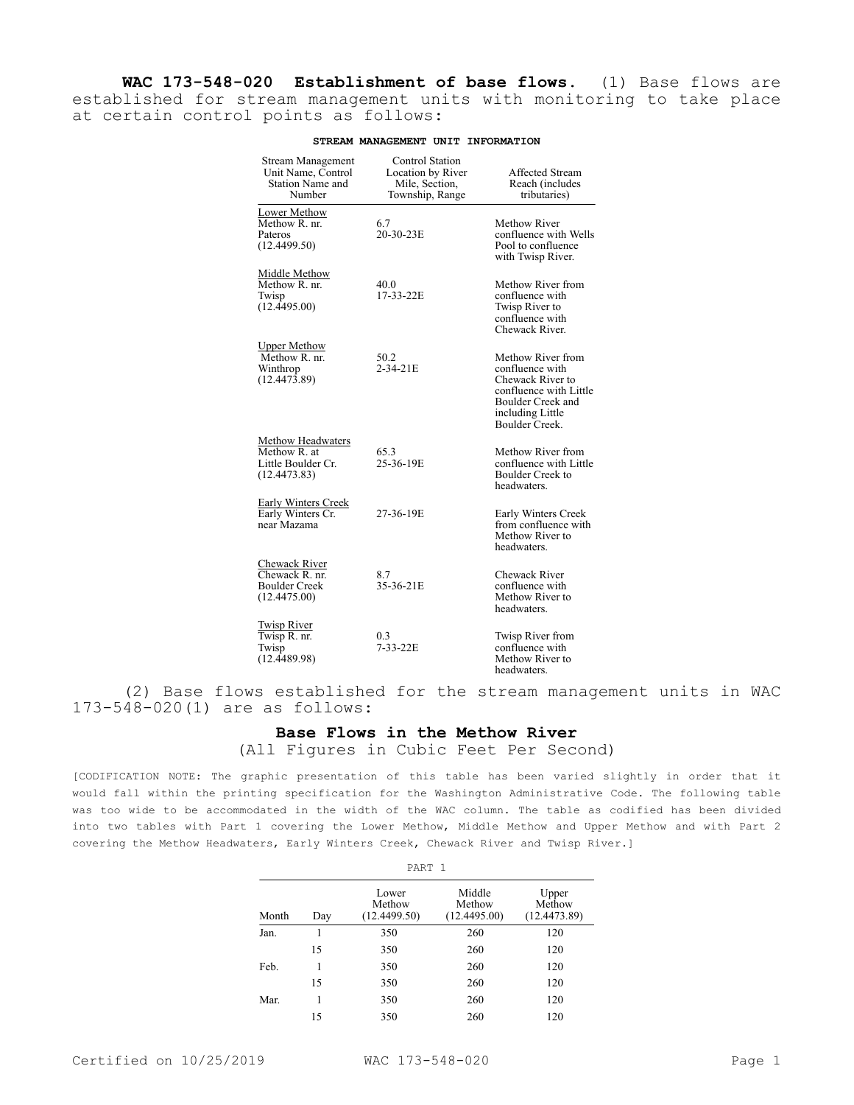**WAC 173-548-020 Establishment of base flows.** (1) Base flows are established for stream management units with monitoring to take place at certain control points as follows:

| Stream Management<br>Unit Name, Control<br><b>Station Name and</b><br>Number | Control Station<br>Location by River<br>Mile, Section,<br>Township, Range | <b>Affected Stream</b><br>Reach (includes<br>tributaries)                                                                                     |
|------------------------------------------------------------------------------|---------------------------------------------------------------------------|-----------------------------------------------------------------------------------------------------------------------------------------------|
| Lower Methow<br>Methow R. nr.<br>Pateros<br>(12.4499.50)                     | 6.7<br>20-30-23E                                                          | Methow River<br>confluence with Wells<br>Pool to confluence<br>with Twisp River.                                                              |
| Middle Methow<br>Methow R. nr.<br>Twisp<br>(12.4495.00)                      | 40.0<br>17-33-22E                                                         | Methow River from<br>confluence with<br>Twisp River to<br>confluence with<br>Chewack River.                                                   |
| <b>Upper Methow</b><br>Methow R. nr.<br>Winthrop<br>(12.4473.89)             | 50.2<br>2-34-21E                                                          | Methow River from<br>confluence with<br>Chewack River to<br>confluence with Little<br>Boulder Creek and<br>including Little<br>Boulder Creek. |
| Methow Headwaters<br>Methow R. at<br>Little Boulder Cr.<br>(12.4473.83)      | 65.3<br>25-36-19E                                                         | Methow River from<br>confluence with Little<br>Boulder Creek to<br>headwaters.                                                                |
| Early Winters Creek<br>Early Winters Cr.<br>near Mazama                      | 27-36-19E                                                                 | Early Winters Creek<br>from confluence with<br>Methow River to<br>headwaters.                                                                 |
| Chewack River<br>Chewack R. nr.<br>Boulder Creek<br>(12.4475.00)             | 8.7<br>35-36-21E                                                          | <b>Chewack River</b><br>confluence with<br>Methow River to<br>headwaters.                                                                     |
| <b>Twisp River</b><br>Twisp R. nr.<br>Twisp<br>(12.4489.98)                  | 0.3<br>7-33-22E                                                           | Twisp River from<br>confluence with<br>Methow River to<br>headwaters.                                                                         |

## **STREAM MANAGEMENT UNIT INFORMATION**

(2) Base flows established for the stream management units in WAC 173-548-020(1) are as follows:

## **Base Flows in the Methow River**

(All Figures in Cubic Feet Per Second)

[CODIFICATION NOTE: The graphic presentation of this table has been varied slightly in order that it would fall within the printing specification for the Washington Administrative Code. The following table was too wide to be accommodated in the width of the WAC column. The table as codified has been divided into two tables with Part 1 covering the Lower Methow, Middle Methow and Upper Methow and with Part 2 covering the Methow Headwaters, Early Winters Creek, Chewack River and Twisp River.]

|       |     | PART 1                          |                                  |                                 |  |  |  |
|-------|-----|---------------------------------|----------------------------------|---------------------------------|--|--|--|
| Month | Day | Lower<br>Methow<br>(12.4499.50) | Middle<br>Methow<br>(12.4495.00) | Upper<br>Methow<br>(12.4473.89) |  |  |  |
| Jan.  |     | 350                             | 260                              | 120                             |  |  |  |
|       | 15  | 350                             | 260                              | 120                             |  |  |  |
| Feb.  |     | 350                             | 260                              | 120                             |  |  |  |
|       | 15  | 350                             | 260                              | 120                             |  |  |  |
| Mar.  |     | 350                             | 260                              | 120                             |  |  |  |
|       | 15  | 350                             | 260                              | 120                             |  |  |  |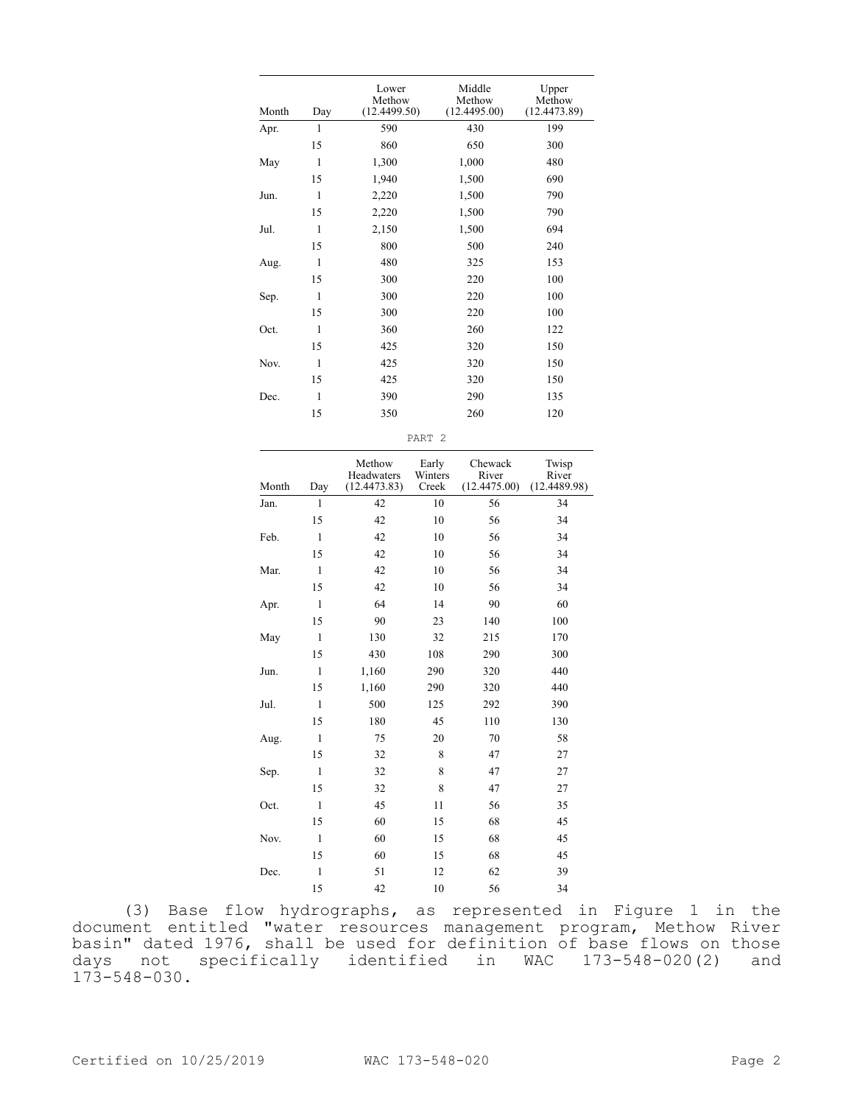| Month | Day         | Lower<br>Methow<br>(12.4499.50) |                   | Middle<br>Methow<br>(12.4495.00) | Upper<br>Methow<br>(12.4473.89) |
|-------|-------------|---------------------------------|-------------------|----------------------------------|---------------------------------|
| Apr.  | 1           | 590                             |                   | 430                              | 199                             |
|       | 15          | 860                             |                   | 650                              | 300                             |
| May   | 1           | 1,300                           |                   | 1,000                            | 480                             |
|       | 15          | 1,940                           |                   | 1,500                            | 690                             |
| Jun.  | 1           | 2,220                           |                   | 1,500                            | 790                             |
|       | 15          | 2,220                           |                   | 1,500                            | 790                             |
| Jul.  | 1           | 2,150                           |                   | 1,500                            | 694                             |
|       | 15          | 800                             |                   | 500                              | 240                             |
| Aug.  | 1           | 480                             |                   | 325                              | 153                             |
|       | 15          | 300                             |                   | 220                              | 100                             |
|       | 1           | 300                             |                   | 220                              | 100                             |
| Sep.  | 15          | 300                             |                   | 220                              | 100                             |
|       |             |                                 |                   |                                  |                                 |
| Oct.  | 1           | 360                             |                   | 260                              | 122                             |
|       | 15          | 425                             |                   | 320                              | 150                             |
| Nov.  | 1           | 425                             |                   | 320                              | 150                             |
|       | 15          | 425                             |                   | 320                              | 150                             |
| Dec.  | 1           | 390                             |                   | 290                              | 135                             |
|       | 15          | 350                             |                   | 260                              | 120                             |
|       |             |                                 | PART <sub>2</sub> |                                  |                                 |
|       |             | Methow<br>Headwaters            | Early<br>Winters  | Chewack<br>River                 | Twisp<br>River                  |
| Month | Day         | (12.4473.83)                    | Creek             | (12.4475.00)                     | (12.4489.98)                    |
| Jan.  | 1           | 42                              | 10                | 56                               | 34                              |
|       | 15          | 42                              | 10                | 56                               | 34                              |
| Feb.  | 1           | 42                              | 10                | 56                               | 34                              |
|       | 15          | 42                              | 10                | 56                               | 34                              |
| Mar.  | 1           | 42                              | 10                | 56                               | 34                              |
|       | 15          | 42                              | 10                | 56                               | 34                              |
| Apr.  | 1           | 64                              | 14                | 90                               | 60                              |
|       | 15          | 90                              | 23                | 140                              | 100                             |
| May   | 1           | 130                             | 32                | 215                              | 170                             |
|       | 15          | 430                             | 108               | 290                              | 300                             |
| Jun.  | 1           | 1,160                           | 290               | 320                              | 440                             |
|       | 15          | 1,160                           | 290               | 320                              | 440                             |
| Jul.  | $\,1$       | 500                             | 125               | 292                              | 390                             |
|       | 15          | 180                             | 45                | 110                              | 130                             |
| Aug.  | $\,1\,$     | 75                              | 20                | $70\,$                           | 58                              |
|       | 15          | 32                              | 8                 | 47                               | 27                              |
| Sep.  | $\,1\,$     | 32                              | 8                 | 47                               | 27                              |
|       | 15          | 32                              | 8                 | 47                               | 27                              |
| Oct.  | $\,1\,$     | 45                              | 11                | 56                               | 35                              |
|       | 15          | 60                              | 15                | 68                               | 45                              |
| Nov.  | $\,1\,$     | 60                              | 15                | 68                               | 45                              |
|       | 15          | 60                              | 15                | 68                               | 45                              |
| Dec.  | $\mathbf 1$ | 51                              | 12                | 62                               | 39                              |
|       |             |                                 |                   |                                  |                                 |

(3) Base flow hydrographs, as represented in Figure 1 in the document entitled "water resources management program, Methow River basin" dated 1976, shall be used for definition of base flows on those days not specifically identified in WAC 173-548-020(2) and 173-548-030.

15 42 10 56 34